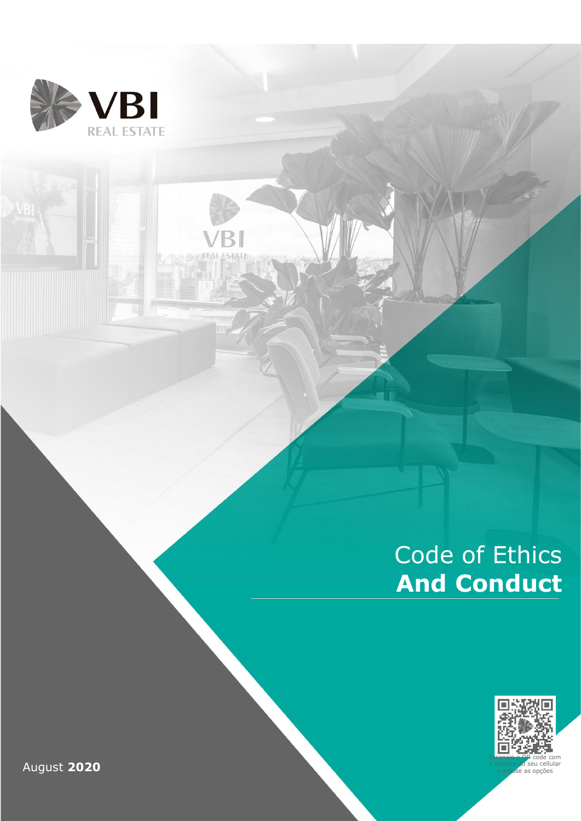

₹

# Code of Ethics **And Conduct**



August **2020**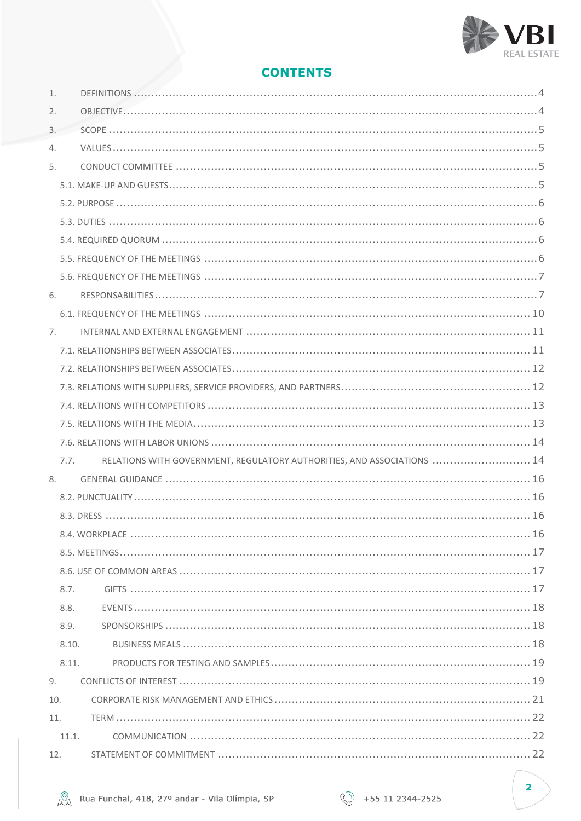

# **CONTENTS**

|    | 11.<br>11.1. |                                                                         |
|----|--------------|-------------------------------------------------------------------------|
|    | 10.          |                                                                         |
| 9. |              |                                                                         |
|    | 8.11.        |                                                                         |
|    | 8.10.        |                                                                         |
|    | 8.9.         |                                                                         |
|    | 8.8.         |                                                                         |
|    | 8.7.         |                                                                         |
|    |              |                                                                         |
|    |              |                                                                         |
|    |              |                                                                         |
|    |              |                                                                         |
|    |              |                                                                         |
| 8. |              |                                                                         |
|    | 7.7.         | RELATIONS WITH GOVERNMENT, REGULATORY AUTHORITIES, AND ASSOCIATIONS  14 |
|    |              |                                                                         |
|    |              |                                                                         |
|    |              |                                                                         |
|    |              |                                                                         |
|    |              |                                                                         |
|    |              |                                                                         |
| 7. |              |                                                                         |
|    |              |                                                                         |
| 6. |              |                                                                         |
|    |              |                                                                         |
|    |              |                                                                         |
|    |              |                                                                         |
|    |              |                                                                         |
|    |              |                                                                         |
|    |              |                                                                         |
| 5. |              |                                                                         |
| 4. |              |                                                                         |
| 3. |              |                                                                         |
| 2. |              |                                                                         |
| 1. |              |                                                                         |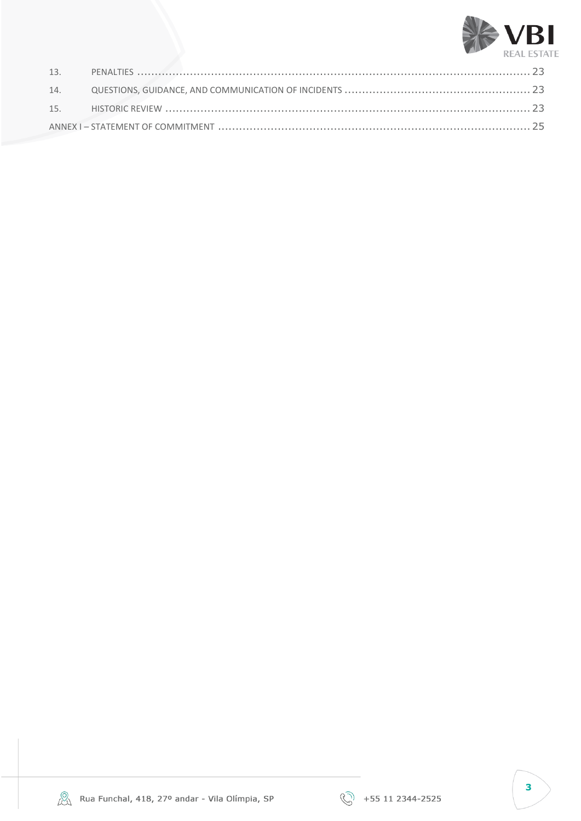





 $\overline{\mathbf{3}}$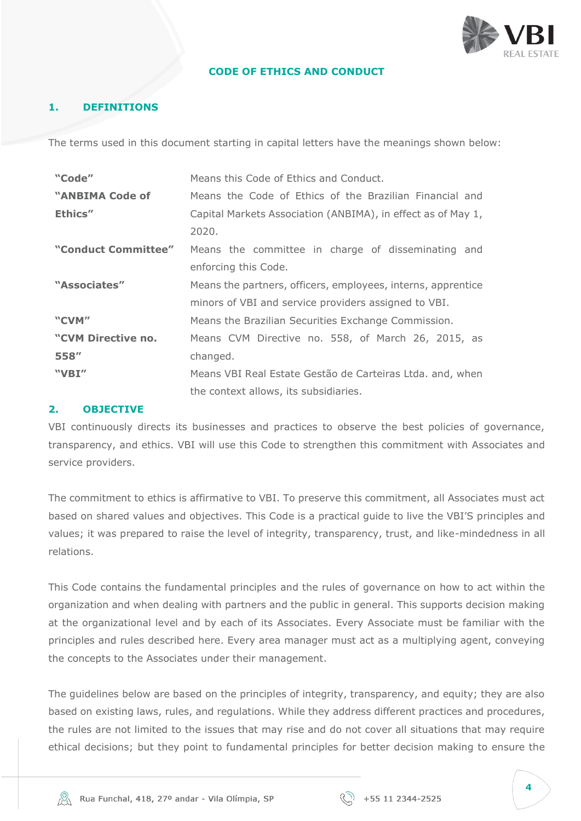

#### **CODE OF ETHICS AND CONDUCT**

#### <span id="page-3-0"></span>**1. DEFINITIONS**

The terms used in this document starting in capital letters have the meanings shown below:

| "Code"              | Means this Code of Ethics and Conduct.                       |
|---------------------|--------------------------------------------------------------|
| "ANBIMA Code of     | Means the Code of Ethics of the Brazilian Financial and      |
| Ethics"             | Capital Markets Association (ANBIMA), in effect as of May 1, |
|                     | 2020.                                                        |
| "Conduct Committee" | Means the committee in charge of disseminating and           |
|                     | enforcing this Code.                                         |
| "Associates"        | Means the partners, officers, employees, interns, apprentice |
|                     | minors of VBI and service providers assigned to VBI.         |
| "CVM"               | Means the Brazilian Securities Exchange Commission.          |
| "CVM Directive no.  | Means CVM Directive no. 558, of March 26, 2015, as           |
| 558"                | changed.                                                     |
| "VBI"               | Means VBI Real Estate Gestão de Carteiras Ltda. and, when    |
|                     | the context allows, its subsidiaries.                        |

#### <span id="page-3-1"></span>**2. OBJECTIVE**

VBI continuously directs its businesses and practices to observe the best policies of governance, transparency, and ethics. VBI will use this Code to strengthen this commitment with Associates and service providers.

The commitment to ethics is affirmative to VBI. To preserve this commitment, all Associates must act based on shared values and objectives. This Code is a practical guide to live the VBI'S principles and values; it was prepared to raise the level of integrity, transparency, trust, and like-mindedness in all relations.

This Code contains the fundamental principles and the rules of governance on how to act within the organization and when dealing with partners and the public in general. This supports decision making at the organizational level and by each of its Associates. Every Associate must be familiar with the principles and rules described here. Every area manager must act as a multiplying agent, conveying the concepts to the Associates under their management.

The guidelines below are based on the principles of integrity, transparency, and equity; they are also based on existing laws, rules, and regulations. While they address different practices and procedures, the rules are not limited to the issues that may rise and do not cover all situations that may require ethical decisions; but they point to fundamental principles for better decision making to ensure the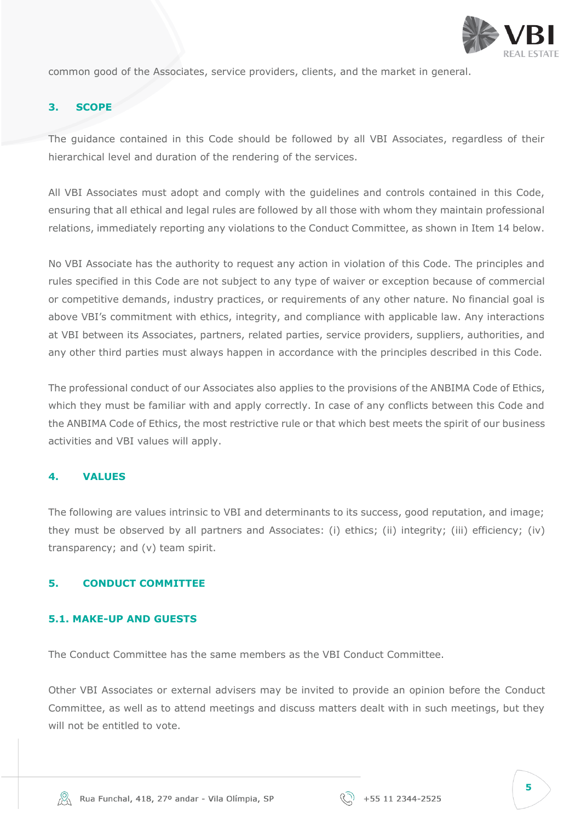

common good of the Associates, service providers, clients, and the market in general.

#### <span id="page-4-0"></span>**3. SCOPE**

The guidance contained in this Code should be followed by all VBI Associates, regardless of their hierarchical level and duration of the rendering of the services.

All VBI Associates must adopt and comply with the guidelines and controls contained in this Code, ensuring that all ethical and legal rules are followed by all those with whom they maintain professional relations, immediately reporting any violations to the Conduct Committee, as shown in Item 14 below.

No VBI Associate has the authority to request any action in violation of this Code. The principles and rules specified in this Code are not subject to any type of waiver or exception because of commercial or competitive demands, industry practices, or requirements of any other nature. No financial goal is above VBI's commitment with ethics, integrity, and compliance with applicable law. Any interactions at VBI between its Associates, partners, related parties, service providers, suppliers, authorities, and any other third parties must always happen in accordance with the principles described in this Code.

The professional conduct of our Associates also applies to the provisions of the ANBIMA Code of Ethics, which they must be familiar with and apply correctly. In case of any conflicts between this Code and the ANBIMA Code of Ethics, the most restrictive rule or that which best meets the spirit of our business activities and VBI values will apply.

#### <span id="page-4-1"></span>**4. VALUES**

The following are values intrinsic to VBI and determinants to its success, good reputation, and image; they must be observed by all partners and Associates: (i) ethics; (ii) integrity; (iii) efficiency; (iv) transparency; and (v) team spirit.

#### <span id="page-4-2"></span>**5. CONDUCT COMMITTEE**

#### <span id="page-4-3"></span>**5.1. MAKE-UP AND GUESTS**

The Conduct Committee has the same members as the VBI Conduct Committee.

Other VBI Associates or external advisers may be invited to provide an opinion before the Conduct Committee, as well as to attend meetings and discuss matters dealt with in such meetings, but they will not be entitled to vote.

| ł<br>×<br>$\frac{1}{2}$<br>٧<br>٧<br>v<br>۰.<br>۰,<br>$\sim$ | × |
|--------------------------------------------------------------|---|
|                                                              |   |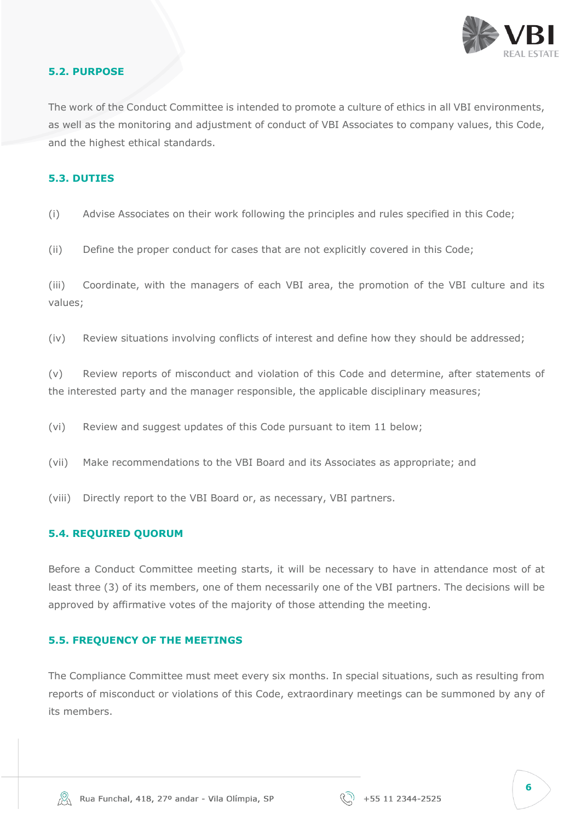

#### <span id="page-5-0"></span>**5.2. PURPOSE**

The work of the Conduct Committee is intended to promote a culture of ethics in all VBI environments, as well as the monitoring and adjustment of conduct of VBI Associates to company values, this Code, and the highest ethical standards.

#### <span id="page-5-1"></span>**5.3. DUTIES**

- (i) Advise Associates on their work following the principles and rules specified in this Code;
- (ii) Define the proper conduct for cases that are not explicitly covered in this Code;

(iii) Coordinate, with the managers of each VBI area, the promotion of the VBI culture and its values;

(iv) Review situations involving conflicts of interest and define how they should be addressed;

(v) Review reports of misconduct and violation of this Code and determine, after statements of the interested party and the manager responsible, the applicable disciplinary measures;

- (vi) Review and suggest updates of this Code pursuant to item 11 below;
- (vii) Make recommendations to the VBI Board and its Associates as appropriate; and
- (viii) Directly report to the VBI Board or, as necessary, VBI partners.

#### <span id="page-5-2"></span>**5.4. REQUIRED QUORUM**

Before a Conduct Committee meeting starts, it will be necessary to have in attendance most of at least three (3) of its members, one of them necessarily one of the VBI partners. The decisions will be approved by affirmative votes of the majority of those attending the meeting.

#### <span id="page-5-3"></span>**5.5. FREQUENCY OF THE MEETINGS**

The Compliance Committee must meet every six months. In special situations, such as resulting from reports of misconduct or violations of this Code, extraordinary meetings can be summoned by any of its members.

| ٧<br>v<br>۰, | ×<br>$\sim$ | ł<br>ł | ×<br>w |
|--------------|-------------|--------|--------|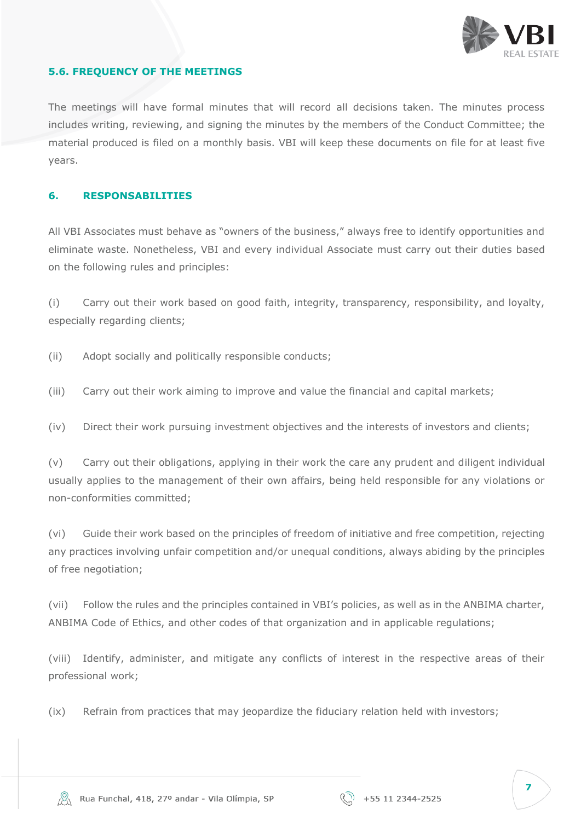

#### <span id="page-6-0"></span>**5.6. FREQUENCY OF THE MEETINGS**

The meetings will have formal minutes that will record all decisions taken. The minutes process includes writing, reviewing, and signing the minutes by the members of the Conduct Committee; the material produced is filed on a monthly basis. VBI will keep these documents on file for at least five years.

#### <span id="page-6-1"></span>**6. RESPONSABILITIES**

All VBI Associates must behave as "owners of the business," always free to identify opportunities and eliminate waste. Nonetheless, VBI and every individual Associate must carry out their duties based on the following rules and principles:

(i) Carry out their work based on good faith, integrity, transparency, responsibility, and loyalty, especially regarding clients;

- (ii) Adopt socially and politically responsible conducts;
- (iii) Carry out their work aiming to improve and value the financial and capital markets;
- (iv) Direct their work pursuing investment objectives and the interests of investors and clients;

(v) Carry out their obligations, applying in their work the care any prudent and diligent individual usually applies to the management of their own affairs, being held responsible for any violations or non-conformities committed;

(vi) Guide their work based on the principles of freedom of initiative and free competition, rejecting any practices involving unfair competition and/or unequal conditions, always abiding by the principles of free negotiation;

(vii) Follow the rules and the principles contained in VBI's policies, as well as in the ANBIMA charter, ANBIMA Code of Ethics, and other codes of that organization and in applicable regulations;

(viii) Identify, administer, and mitigate any conflicts of interest in the respective areas of their professional work;

(ix) Refrain from practices that may jeopardize the fiduciary relation held with investors;

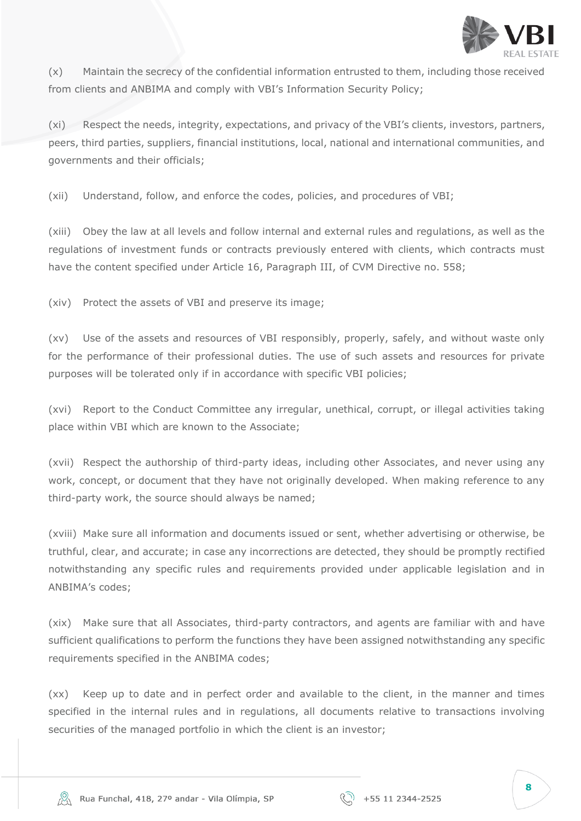

(x) Maintain the secrecy of the confidential information entrusted to them, including those received from clients and ANBIMA and comply with VBI's Information Security Policy;

(xi) Respect the needs, integrity, expectations, and privacy of the VBI's clients, investors, partners, peers, third parties, suppliers, financial institutions, local, national and international communities, and governments and their officials;

(xii) Understand, follow, and enforce the codes, policies, and procedures of VBI;

(xiii) Obey the law at all levels and follow internal and external rules and regulations, as well as the regulations of investment funds or contracts previously entered with clients, which contracts must have the content specified under Article 16, Paragraph III, of CVM Directive no. 558;

(xiv) Protect the assets of VBI and preserve its image;

(xv) Use of the assets and resources of VBI responsibly, properly, safely, and without waste only for the performance of their professional duties. The use of such assets and resources for private purposes will be tolerated only if in accordance with specific VBI policies;

(xvi) Report to the Conduct Committee any irregular, unethical, corrupt, or illegal activities taking place within VBI which are known to the Associate;

(xvii) Respect the authorship of third-party ideas, including other Associates, and never using any work, concept, or document that they have not originally developed. When making reference to any third-party work, the source should always be named;

(xviii) Make sure all information and documents issued or sent, whether advertising or otherwise, be truthful, clear, and accurate; in case any incorrections are detected, they should be promptly rectified notwithstanding any specific rules and requirements provided under applicable legislation and in ANBIMA's codes;

(xix) Make sure that all Associates, third-party contractors, and agents are familiar with and have sufficient qualifications to perform the functions they have been assigned notwithstanding any specific requirements specified in the ANBIMA codes;

(xx) Keep up to date and in perfect order and available to the client, in the manner and times specified in the internal rules and in regulations, all documents relative to transactions involving securities of the managed portfolio in which the client is an investor;

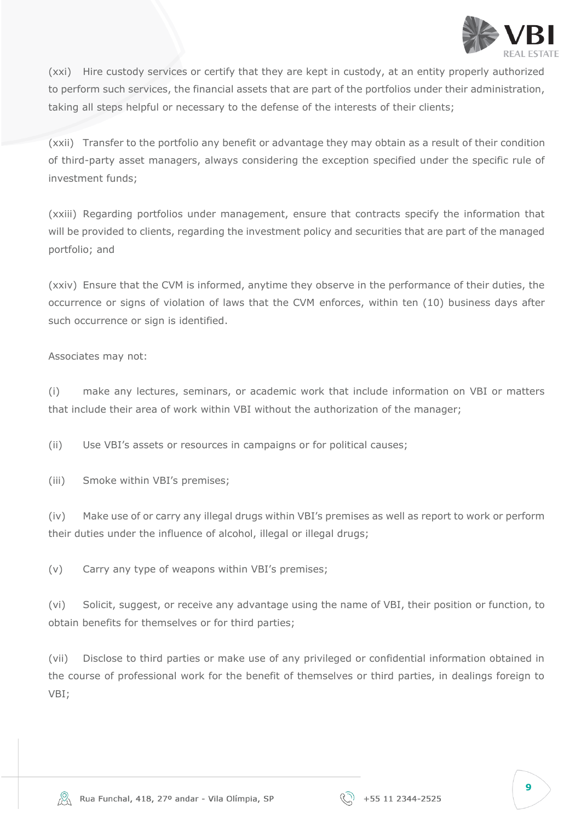

(xxi) Hire custody services or certify that they are kept in custody, at an entity properly authorized to perform such services, the financial assets that are part of the portfolios under their administration, taking all steps helpful or necessary to the defense of the interests of their clients;

(xxii) Transfer to the portfolio any benefit or advantage they may obtain as a result of their condition of third-party asset managers, always considering the exception specified under the specific rule of investment funds;

(xxiii) Regarding portfolios under management, ensure that contracts specify the information that will be provided to clients, regarding the investment policy and securities that are part of the managed portfolio; and

(xxiv) Ensure that the CVM is informed, anytime they observe in the performance of their duties, the occurrence or signs of violation of laws that the CVM enforces, within ten (10) business days after such occurrence or sign is identified.

Associates may not:

(i) make any lectures, seminars, or academic work that include information on VBI or matters that include their area of work within VBI without the authorization of the manager;

(ii) Use VBI's assets or resources in campaigns or for political causes;

(iii) Smoke within VBI's premises;

(iv) Make use of or carry any illegal drugs within VBI's premises as well as report to work or perform their duties under the influence of alcohol, illegal or illegal drugs;

(v) Carry any type of weapons within VBI's premises;

(vi) Solicit, suggest, or receive any advantage using the name of VBI, their position or function, to obtain benefits for themselves or for third parties;

(vii) Disclose to third parties or make use of any privileged or confidential information obtained in the course of professional work for the benefit of themselves or third parties, in dealings foreign to VBI;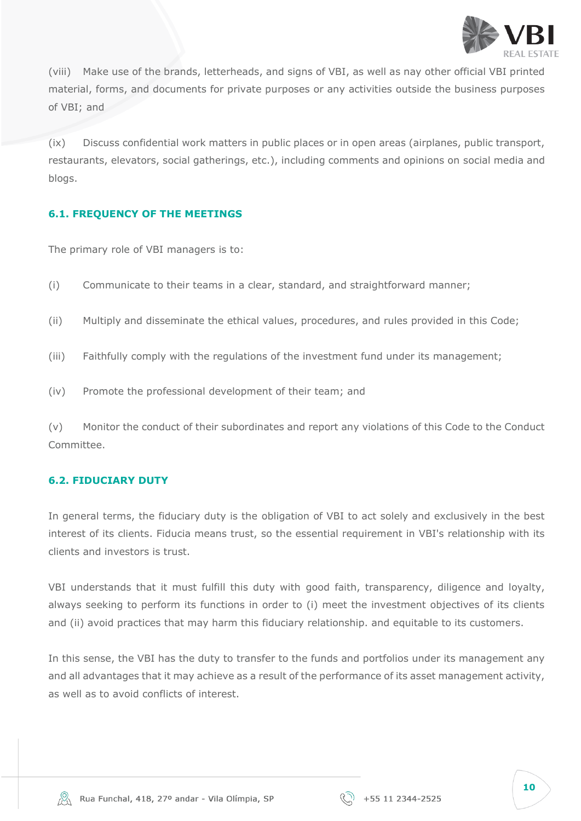

(viii) Make use of the brands, letterheads, and signs of VBI, as well as nay other official VBI printed material, forms, and documents for private purposes or any activities outside the business purposes of VBI; and

(ix) Discuss confidential work matters in public places or in open areas (airplanes, public transport, restaurants, elevators, social gatherings, etc.), including comments and opinions on social media and blogs.

# <span id="page-9-0"></span>**6.1. FREQUENCY OF THE MEETINGS**

The primary role of VBI managers is to:

- (i) Communicate to their teams in a clear, standard, and straightforward manner;
- (ii) Multiply and disseminate the ethical values, procedures, and rules provided in this Code;
- (iii) Faithfully comply with the regulations of the investment fund under its management;
- (iv) Promote the professional development of their team; and

(v) Monitor the conduct of their subordinates and report any violations of this Code to the Conduct Committee.

#### **6.2. FIDUCIARY DUTY**

In general terms, the fiduciary duty is the obligation of VBI to act solely and exclusively in the best interest of its clients. Fiducia means trust, so the essential requirement in VBI's relationship with its clients and investors is trust.

VBI understands that it must fulfill this duty with good faith, transparency, diligence and loyalty, always seeking to perform its functions in order to (i) meet the investment objectives of its clients and (ii) avoid practices that may harm this fiduciary relationship. and equitable to its customers.

In this sense, the VBI has the duty to transfer to the funds and portfolios under its management any and all advantages that it may achieve as a result of the performance of its asset management activity, as well as to avoid conflicts of interest.



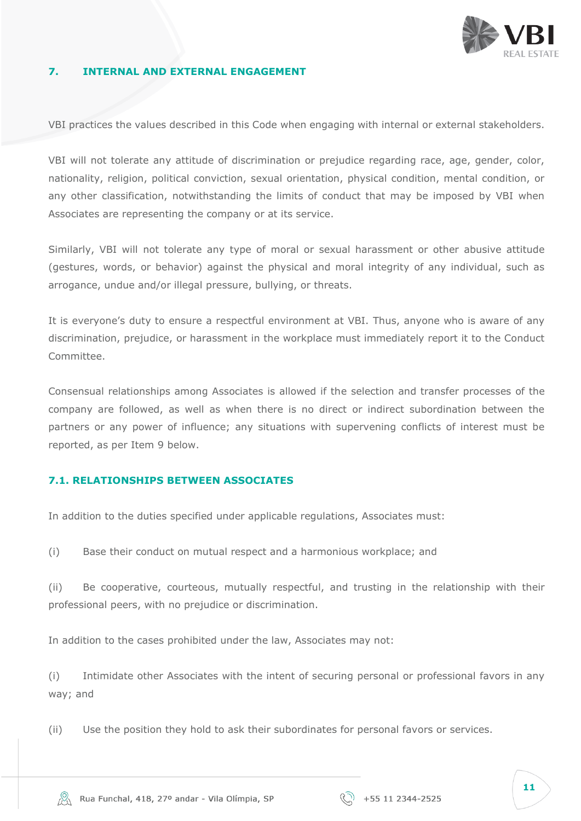

#### <span id="page-10-0"></span>**7. INTERNAL AND EXTERNAL ENGAGEMENT**

VBI practices the values described in this Code when engaging with internal or external stakeholders.

VBI will not tolerate any attitude of discrimination or prejudice regarding race, age, gender, color, nationality, religion, political conviction, sexual orientation, physical condition, mental condition, or any other classification, notwithstanding the limits of conduct that may be imposed by VBI when Associates are representing the company or at its service.

Similarly, VBI will not tolerate any type of moral or sexual harassment or other abusive attitude (gestures, words, or behavior) against the physical and moral integrity of any individual, such as arrogance, undue and/or illegal pressure, bullying, or threats.

It is everyone's duty to ensure a respectful environment at VBI. Thus, anyone who is aware of any discrimination, prejudice, or harassment in the workplace must immediately report it to the Conduct Committee.

Consensual relationships among Associates is allowed if the selection and transfer processes of the company are followed, as well as when there is no direct or indirect subordination between the partners or any power of influence; any situations with supervening conflicts of interest must be reported, as per Item 9 below.

#### <span id="page-10-1"></span>**7.1. RELATIONSHIPS BETWEEN ASSOCIATES**

In addition to the duties specified under applicable regulations, Associates must:

(i) Base their conduct on mutual respect and a harmonious workplace; and

(ii) Be cooperative, courteous, mutually respectful, and trusting in the relationship with their professional peers, with no prejudice or discrimination.

In addition to the cases prohibited under the law, Associates may not:

(i) Intimidate other Associates with the intent of securing personal or professional favors in any way; and

(ii) Use the position they hold to ask their subordinates for personal favors or services.

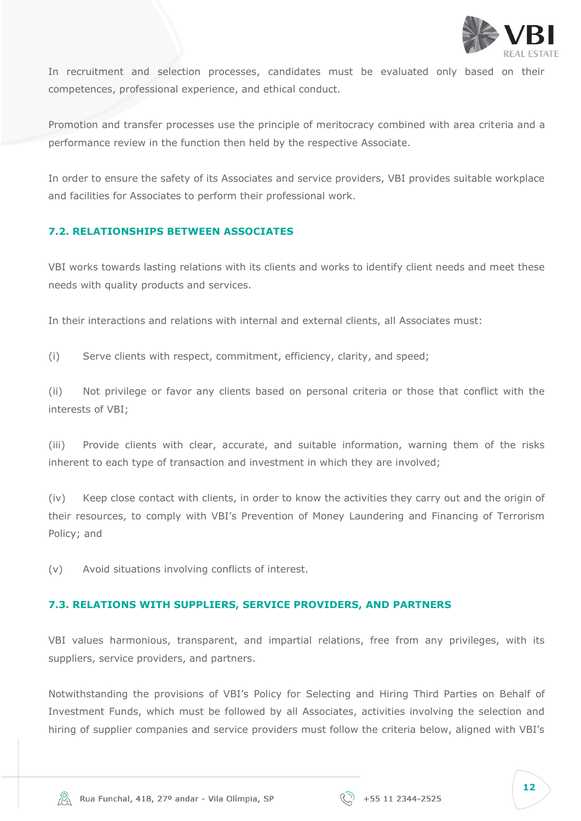

In recruitment and selection processes, candidates must be evaluated only based on their competences, professional experience, and ethical conduct.

Promotion and transfer processes use the principle of meritocracy combined with area criteria and a performance review in the function then held by the respective Associate.

In order to ensure the safety of its Associates and service providers, VBI provides suitable workplace and facilities for Associates to perform their professional work.

# <span id="page-11-0"></span>**7.2. RELATIONSHIPS BETWEEN ASSOCIATES**

VBI works towards lasting relations with its clients and works to identify client needs and meet these needs with quality products and services.

In their interactions and relations with internal and external clients, all Associates must:

(i) Serve clients with respect, commitment, efficiency, clarity, and speed;

(ii) Not privilege or favor any clients based on personal criteria or those that conflict with the interests of VBI;

(iii) Provide clients with clear, accurate, and suitable information, warning them of the risks inherent to each type of transaction and investment in which they are involved;

(iv) Keep close contact with clients, in order to know the activities they carry out and the origin of their resources, to comply with VBI's Prevention of Money Laundering and Financing of Terrorism Policy; and

(v) Avoid situations involving conflicts of interest.

#### <span id="page-11-1"></span>**7.3. RELATIONS WITH SUPPLIERS, SERVICE PROVIDERS, AND PARTNERS**

VBI values harmonious, transparent, and impartial relations, free from any privileges, with its suppliers, service providers, and partners.

Notwithstanding the provisions of VBI's Policy for Selecting and Hiring Third Parties on Behalf of Investment Funds, which must be followed by all Associates, activities involving the selection and hiring of supplier companies and service providers must follow the criteria below, aligned with VBI's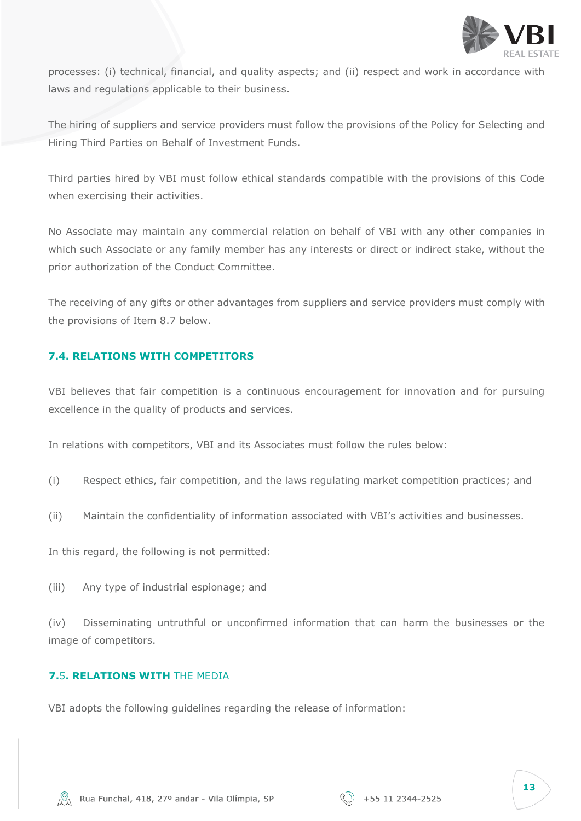

processes: (i) technical, financial, and quality aspects; and (ii) respect and work in accordance with laws and regulations applicable to their business.

The hiring of suppliers and service providers must follow the provisions of the Policy for Selecting and Hiring Third Parties on Behalf of Investment Funds.

Third parties hired by VBI must follow ethical standards compatible with the provisions of this Code when exercising their activities.

No Associate may maintain any commercial relation on behalf of VBI with any other companies in which such Associate or any family member has any interests or direct or indirect stake, without the prior authorization of the Conduct Committee.

The receiving of any gifts or other advantages from suppliers and service providers must comply with the provisions of Item 8.7 below.

# <span id="page-12-0"></span>**7.4. RELATIONS WITH COMPETITORS**

VBI believes that fair competition is a continuous encouragement for innovation and for pursuing excellence in the quality of products and services.

In relations with competitors, VBI and its Associates must follow the rules below:

- (i) Respect ethics, fair competition, and the laws regulating market competition practices; and
- (ii) Maintain the confidentiality of information associated with VBI's activities and businesses.

In this regard, the following is not permitted:

(iii) Any type of industrial espionage; and

(iv) Disseminating untruthful or unconfirmed information that can harm the businesses or the image of competitors.

#### <span id="page-12-1"></span>**7.**5**. RELATIONS WITH** THE MEDIA

VBI adopts the following guidelines regarding the release of information: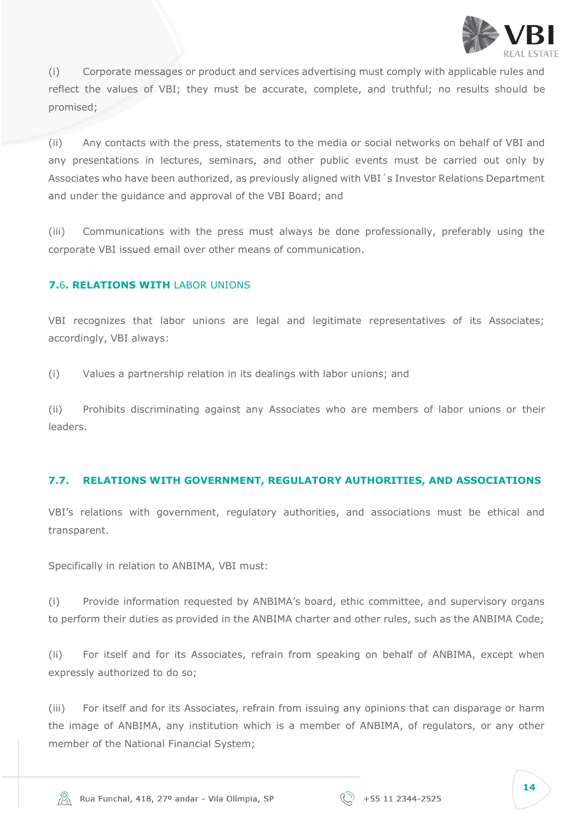

(i) Corporate messages or product and services advertising must comply with applicable rules and reflect the values of VBI; they must be accurate, complete, and truthful; no results should be promised;

(ii) Any contacts with the press, statements to the media or social networks on behalf of VBI and any presentations in lectures, seminars, and other public events must be carried out only by Associates who have been authorized, as previously aligned with VBI´s Investor Relations Department and under the guidance and approval of the VBI Board; and

(iii) Communications with the press must always be done professionally, preferably using the corporate VBI issued email over other means of communication.

# <span id="page-13-0"></span>**7.**6**. RELATIONS WITH** LABOR UNIONS

VBI recognizes that labor unions are legal and legitimate representatives of its Associates; accordingly, VBI always:

(i) Values a partnership relation in its dealings with labor unions; and

(ii) Prohibits discriminating against any Associates who are members of labor unions or their leaders.

#### <span id="page-13-1"></span>**7.7. RELATIONS WITH GOVERNMENT, REGULATORY AUTHORITIES, AND ASSOCIATIONS**

VBI's relations with government, regulatory authorities, and associations must be ethical and transparent.

Specifically in relation to ANBIMA, VBI must:

(i) Provide information requested by ANBIMA's board, ethic committee, and supervisory organs to perform their duties as provided in the ANBIMA charter and other rules, such as the ANBIMA Code;

(ii) For itself and for its Associates, refrain from speaking on behalf of ANBIMA, except when expressly authorized to do so;

(iii) For itself and for its Associates, refrain from issuing any opinions that can disparage or harm the image of ANBIMA, any institution which is a member of ANBIMA, of regulators, or any other member of the National Financial System;

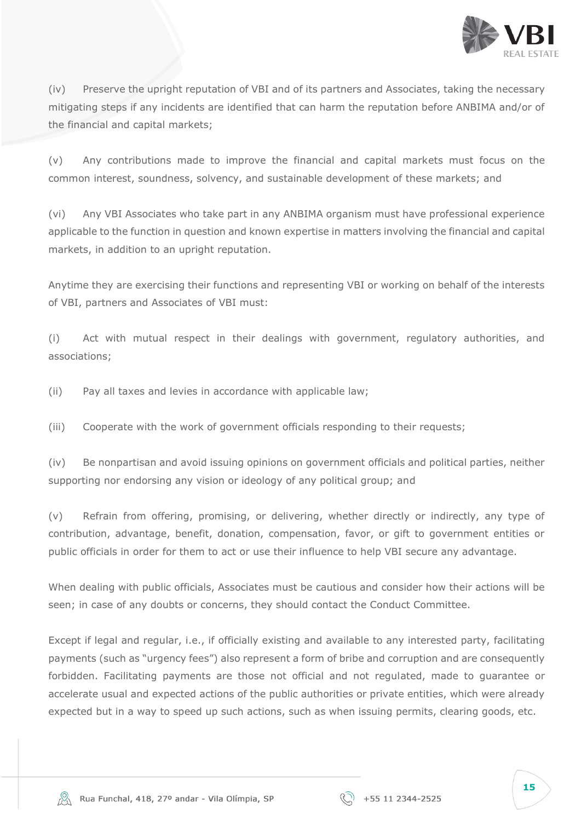

(iv) Preserve the upright reputation of VBI and of its partners and Associates, taking the necessary mitigating steps if any incidents are identified that can harm the reputation before ANBIMA and/or of the financial and capital markets;

(v) Any contributions made to improve the financial and capital markets must focus on the common interest, soundness, solvency, and sustainable development of these markets; and

(vi) Any VBI Associates who take part in any ANBIMA organism must have professional experience applicable to the function in question and known expertise in matters involving the financial and capital markets, in addition to an upright reputation.

Anytime they are exercising their functions and representing VBI or working on behalf of the interests of VBI, partners and Associates of VBI must:

(i) Act with mutual respect in their dealings with government, regulatory authorities, and associations;

(ii) Pay all taxes and levies in accordance with applicable law;

(iii) Cooperate with the work of government officials responding to their requests;

(iv) Be nonpartisan and avoid issuing opinions on government officials and political parties, neither supporting nor endorsing any vision or ideology of any political group; and

(v) Refrain from offering, promising, or delivering, whether directly or indirectly, any type of contribution, advantage, benefit, donation, compensation, favor, or gift to government entities or public officials in order for them to act or use their influence to help VBI secure any advantage.

When dealing with public officials, Associates must be cautious and consider how their actions will be seen; in case of any doubts or concerns, they should contact the Conduct Committee.

Except if legal and regular, i.e., if officially existing and available to any interested party, facilitating payments (such as "urgency fees") also represent a form of bribe and corruption and are consequently forbidden. Facilitating payments are those not official and not regulated, made to guarantee or accelerate usual and expected actions of the public authorities or private entities, which were already expected but in a way to speed up such actions, such as when issuing permits, clearing goods, etc.



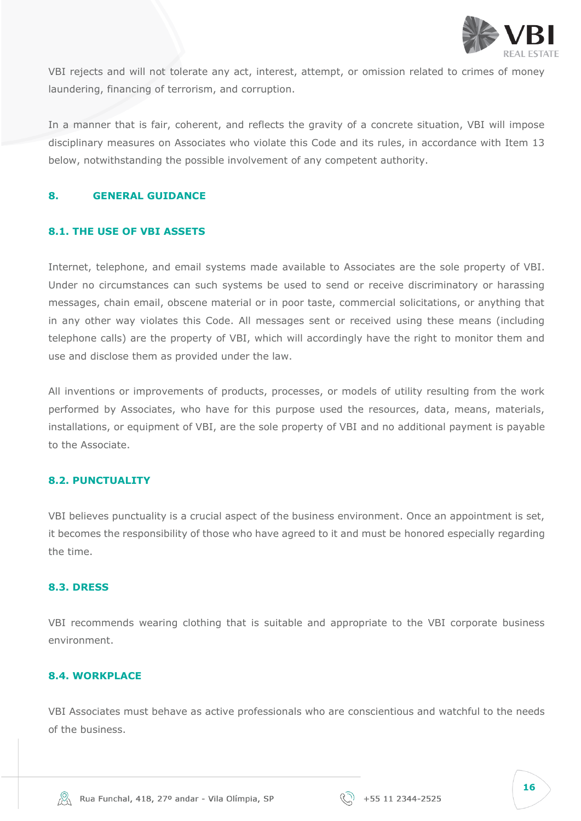

VBI rejects and will not tolerate any act, interest, attempt, or omission related to crimes of money laundering, financing of terrorism, and corruption.

In a manner that is fair, coherent, and reflects the gravity of a concrete situation, VBI will impose disciplinary measures on Associates who violate this Code and its rules, in accordance with Item 13 below, notwithstanding the possible involvement of any competent authority.

#### <span id="page-15-0"></span>**8. GENERAL GUIDANCE**

#### **8.1. THE USE OF VBI ASSETS**

Internet, telephone, and email systems made available to Associates are the sole property of VBI. Under no circumstances can such systems be used to send or receive discriminatory or harassing messages, chain email, obscene material or in poor taste, commercial solicitations, or anything that in any other way violates this Code. All messages sent or received using these means (including telephone calls) are the property of VBI, which will accordingly have the right to monitor them and use and disclose them as provided under the law.

All inventions or improvements of products, processes, or models of utility resulting from the work performed by Associates, who have for this purpose used the resources, data, means, materials, installations, or equipment of VBI, are the sole property of VBI and no additional payment is payable to the Associate.

#### <span id="page-15-1"></span>**8.2. PUNCTUALITY**

VBI believes punctuality is a crucial aspect of the business environment. Once an appointment is set, it becomes the responsibility of those who have agreed to it and must be honored especially regarding the time.

#### <span id="page-15-2"></span>**8.3. DRESS**

VBI recommends wearing clothing that is suitable and appropriate to the VBI corporate business environment.

#### <span id="page-15-3"></span>**8.4. WORKPLACE**

VBI Associates must behave as active professionals who are conscientious and watchful to the needs of the business.

| ł<br>×<br>٧<br>ł<br>۰.<br>v<br>۰,<br>$\sim$ | ×<br>w |
|---------------------------------------------|--------|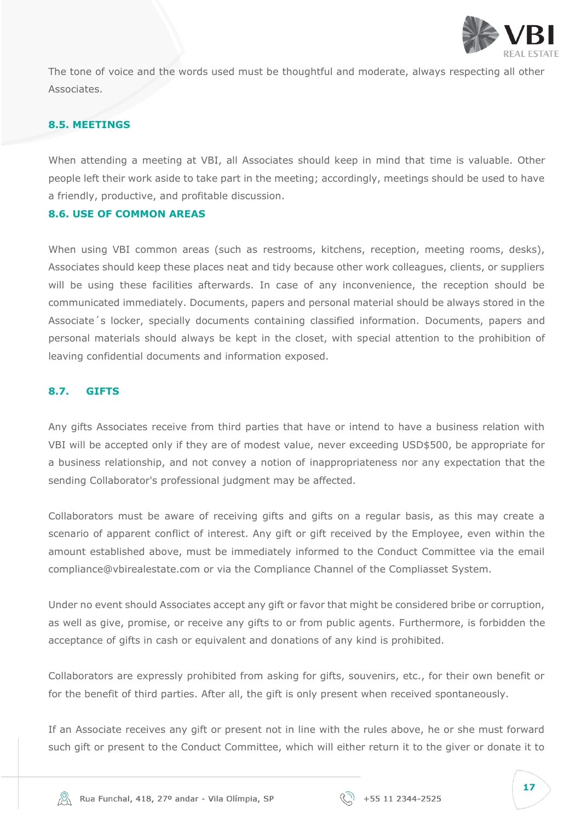

The tone of voice and the words used must be thoughtful and moderate, always respecting all other Associates.

# <span id="page-16-0"></span>**8.5. MEETINGS**

When attending a meeting at VBI, all Associates should keep in mind that time is valuable. Other people left their work aside to take part in the meeting; accordingly, meetings should be used to have a friendly, productive, and profitable discussion.

#### <span id="page-16-1"></span>**8.6. USE OF COMMON AREAS**

When using VBI common areas (such as restrooms, kitchens, reception, meeting rooms, desks), Associates should keep these places neat and tidy because other work colleagues, clients, or suppliers will be using these facilities afterwards. In case of any inconvenience, the reception should be communicated immediately. Documents, papers and personal material should be always stored in the Associate´s locker, specially documents containing classified information. Documents, papers and personal materials should always be kept in the closet, with special attention to the prohibition of leaving confidential documents and information exposed.

#### <span id="page-16-2"></span>**8.7. GIFTS**

Any gifts Associates receive from third parties that have or intend to have a business relation with VBI will be accepted only if they are of modest value, never exceeding USD\$500, be appropriate for a business relationship, and not convey a notion of inappropriateness nor any expectation that the sending Collaborator's professional judgment may be affected.

Collaborators must be aware of receiving gifts and gifts on a regular basis, as this may create a scenario of apparent conflict of interest. Any gift or gift received by the Employee, even within the amount established above, must be immediately informed to the Conduct Committee via the email compliance@vbirealestate.com or via the Compliance Channel of the Compliasset System.

Under no event should Associates accept any gift or favor that might be considered bribe or corruption, as well as give, promise, or receive any gifts to or from public agents. Furthermore, is forbidden the acceptance of gifts in cash or equivalent and donations of any kind is prohibited.

Collaborators are expressly prohibited from asking for gifts, souvenirs, etc., for their own benefit or for the benefit of third parties. After all, the gift is only present when received spontaneously.

If an Associate receives any gift or present not in line with the rules above, he or she must forward such gift or present to the Conduct Committee, which will either return it to the giver or donate it to

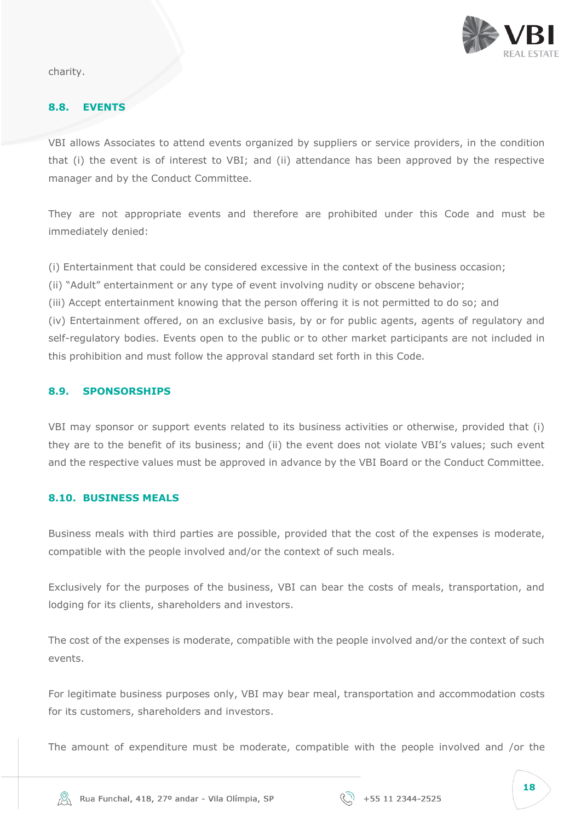

charity.

#### <span id="page-17-0"></span>**8.8. EVENTS**

VBI allows Associates to attend events organized by suppliers or service providers, in the condition that (i) the event is of interest to VBI; and (ii) attendance has been approved by the respective manager and by the Conduct Committee.

They are not appropriate events and therefore are prohibited under this Code and must be immediately denied:

(i) Entertainment that could be considered excessive in the context of the business occasion;

- (ii) "Adult" entertainment or any type of event involving nudity or obscene behavior;
- (iii) Accept entertainment knowing that the person offering it is not permitted to do so; and

(iv) Entertainment offered, on an exclusive basis, by or for public agents, agents of regulatory and self-regulatory bodies. Events open to the public or to other market participants are not included in this prohibition and must follow the approval standard set forth in this Code.

#### <span id="page-17-1"></span>**8.9. SPONSORSHIPS**

VBI may sponsor or support events related to its business activities or otherwise, provided that (i) they are to the benefit of its business; and (ii) the event does not violate VBI's values; such event and the respective values must be approved in advance by the VBI Board or the Conduct Committee.

#### <span id="page-17-2"></span>**8.10. BUSINESS MEALS**

Business meals with third parties are possible, provided that the cost of the expenses is moderate, compatible with the people involved and/or the context of such meals.

Exclusively for the purposes of the business, VBI can bear the costs of meals, transportation, and lodging for its clients, shareholders and investors.

The cost of the expenses is moderate, compatible with the people involved and/or the context of such events.

For legitimate business purposes only, VBI may bear meal, transportation and accommodation costs for its customers, shareholders and investors.

The amount of expenditure must be moderate, compatible with the people involved and /or the

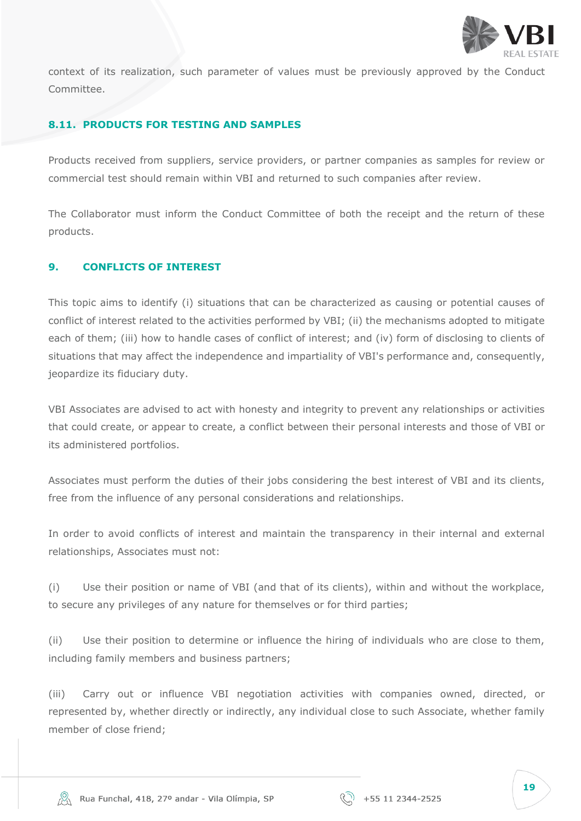

context of its realization, such parameter of values must be previously approved by the Conduct Committee.

#### <span id="page-18-0"></span>**8.11. PRODUCTS FOR TESTING AND SAMPLES**

Products received from suppliers, service providers, or partner companies as samples for review or commercial test should remain within VBI and returned to such companies after review.

The Collaborator must inform the Conduct Committee of both the receipt and the return of these products.

#### <span id="page-18-1"></span>**9. CONFLICTS OF INTEREST**

This topic aims to identify (i) situations that can be characterized as causing or potential causes of conflict of interest related to the activities performed by VBI; (ii) the mechanisms adopted to mitigate each of them; (iii) how to handle cases of conflict of interest; and (iv) form of disclosing to clients of situations that may affect the independence and impartiality of VBI's performance and, consequently, jeopardize its fiduciary duty.

VBI Associates are advised to act with honesty and integrity to prevent any relationships or activities that could create, or appear to create, a conflict between their personal interests and those of VBI or its administered portfolios.

Associates must perform the duties of their jobs considering the best interest of VBI and its clients, free from the influence of any personal considerations and relationships.

In order to avoid conflicts of interest and maintain the transparency in their internal and external relationships, Associates must not:

(i) Use their position or name of VBI (and that of its clients), within and without the workplace, to secure any privileges of any nature for themselves or for third parties;

(ii) Use their position to determine or influence the hiring of individuals who are close to them, including family members and business partners;

(iii) Carry out or influence VBI negotiation activities with companies owned, directed, or represented by, whether directly or indirectly, any individual close to such Associate, whether family member of close friend;

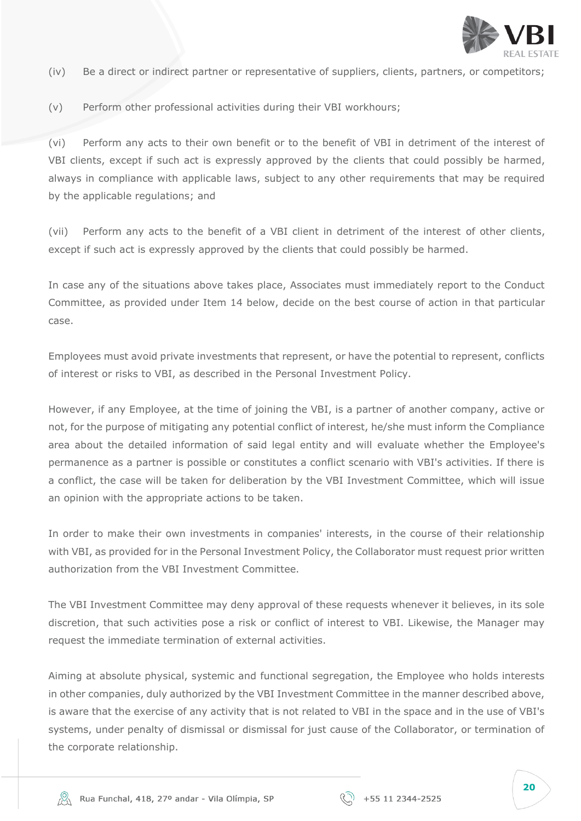

- (iv) Be a direct or indirect partner or representative of suppliers, clients, partners, or competitors;
- (v) Perform other professional activities during their VBI workhours;

(vi) Perform any acts to their own benefit or to the benefit of VBI in detriment of the interest of VBI clients, except if such act is expressly approved by the clients that could possibly be harmed, always in compliance with applicable laws, subject to any other requirements that may be required by the applicable regulations; and

(vii) Perform any acts to the benefit of a VBI client in detriment of the interest of other clients, except if such act is expressly approved by the clients that could possibly be harmed.

In case any of the situations above takes place, Associates must immediately report to the Conduct Committee, as provided under Item 14 below, decide on the best course of action in that particular case.

Employees must avoid private investments that represent, or have the potential to represent, conflicts of interest or risks to VBI, as described in the Personal Investment Policy.

However, if any Employee, at the time of joining the VBI, is a partner of another company, active or not, for the purpose of mitigating any potential conflict of interest, he/she must inform the Compliance area about the detailed information of said legal entity and will evaluate whether the Employee's permanence as a partner is possible or constitutes a conflict scenario with VBI's activities. If there is a conflict, the case will be taken for deliberation by the VBI Investment Committee, which will issue an opinion with the appropriate actions to be taken.

In order to make their own investments in companies' interests, in the course of their relationship with VBI, as provided for in the Personal Investment Policy, the Collaborator must request prior written authorization from the VBI Investment Committee.

The VBI Investment Committee may deny approval of these requests whenever it believes, in its sole discretion, that such activities pose a risk or conflict of interest to VBI. Likewise, the Manager may request the immediate termination of external activities.

Aiming at absolute physical, systemic and functional segregation, the Employee who holds interests in other companies, duly authorized by the VBI Investment Committee in the manner described above, is aware that the exercise of any activity that is not related to VBI in the space and in the use of VBI's systems, under penalty of dismissal or dismissal for just cause of the Collaborator, or termination of the corporate relationship.

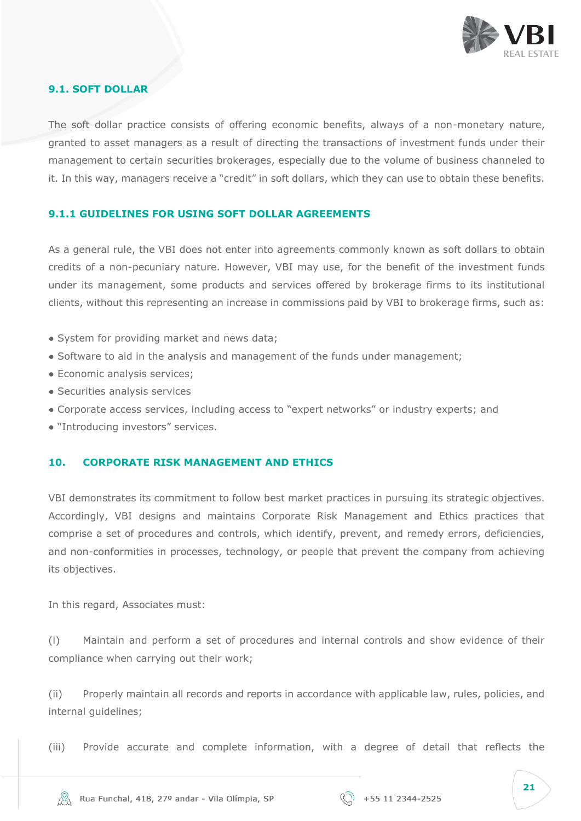

#### **9.1. SOFT DOLLAR**

The soft dollar practice consists of offering economic benefits, always of a non-monetary nature, granted to asset managers as a result of directing the transactions of investment funds under their management to certain securities brokerages, especially due to the volume of business channeled to it. In this way, managers receive a "credit" in soft dollars, which they can use to obtain these benefits.

#### **9.1.1 GUIDELINES FOR USING SOFT DOLLAR AGREEMENTS**

As a general rule, the VBI does not enter into agreements commonly known as soft dollars to obtain credits of a non-pecuniary nature. However, VBI may use, for the benefit of the investment funds under its management, some products and services offered by brokerage firms to its institutional clients, without this representing an increase in commissions paid by VBI to brokerage firms, such as:

- System for providing market and news data;
- Software to aid in the analysis and management of the funds under management;
- Economic analysis services;
- Securities analysis services
- Corporate access services, including access to "expert networks" or industry experts; and
- "Introducing investors" services.

#### <span id="page-20-0"></span>**10. CORPORATE RISK MANAGEMENT AND ETHICS**

VBI demonstrates its commitment to follow best market practices in pursuing its strategic objectives. Accordingly, VBI designs and maintains Corporate Risk Management and Ethics practices that comprise a set of procedures and controls, which identify, prevent, and remedy errors, deficiencies, and non-conformities in processes, technology, or people that prevent the company from achieving its objectives.

In this regard, Associates must:

(i) Maintain and perform a set of procedures and internal controls and show evidence of their compliance when carrying out their work;

(ii) Properly maintain all records and reports in accordance with applicable law, rules, policies, and internal guidelines;

(iii) Provide accurate and complete information, with a degree of detail that reflects the

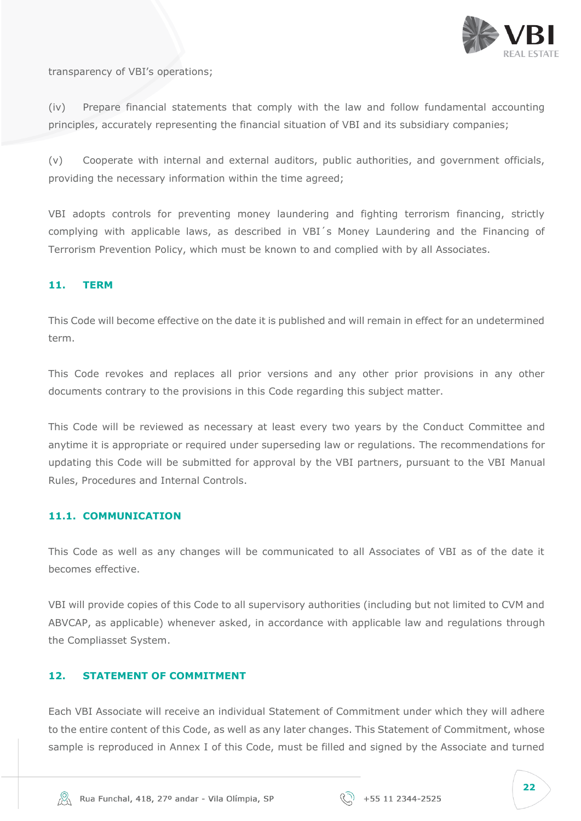

transparency of VBI's operations;

(iv) Prepare financial statements that comply with the law and follow fundamental accounting principles, accurately representing the financial situation of VBI and its subsidiary companies;

(v) Cooperate with internal and external auditors, public authorities, and government officials, providing the necessary information within the time agreed;

VBI adopts controls for preventing money laundering and fighting terrorism financing, strictly complying with applicable laws, as described in VBI´s Money Laundering and the Financing of Terrorism Prevention Policy, which must be known to and complied with by all Associates.

#### <span id="page-21-0"></span>**11. TERM**

This Code will become effective on the date it is published and will remain in effect for an undetermined term.

This Code revokes and replaces all prior versions and any other prior provisions in any other documents contrary to the provisions in this Code regarding this subject matter.

This Code will be reviewed as necessary at least every two years by the Conduct Committee and anytime it is appropriate or required under superseding law or regulations. The recommendations for updating this Code will be submitted for approval by the VBI partners, pursuant to the VBI Manual Rules, Procedures and Internal Controls.

#### <span id="page-21-1"></span>**11.1. COMMUNICATION**

This Code as well as any changes will be communicated to all Associates of VBI as of the date it becomes effective.

VBI will provide copies of this Code to all supervisory authorities (including but not limited to CVM and ABVCAP, as applicable) whenever asked, in accordance with applicable law and regulations through the Compliasset System.

# <span id="page-21-2"></span>**12. STATEMENT OF COMMITMENT**

Each VBI Associate will receive an individual Statement of Commitment under which they will adhere to the entire content of this Code, as well as any later changes. This Statement of Commitment, whose sample is reproduced in Annex I of this Code, must be filled and signed by the Associate and turned

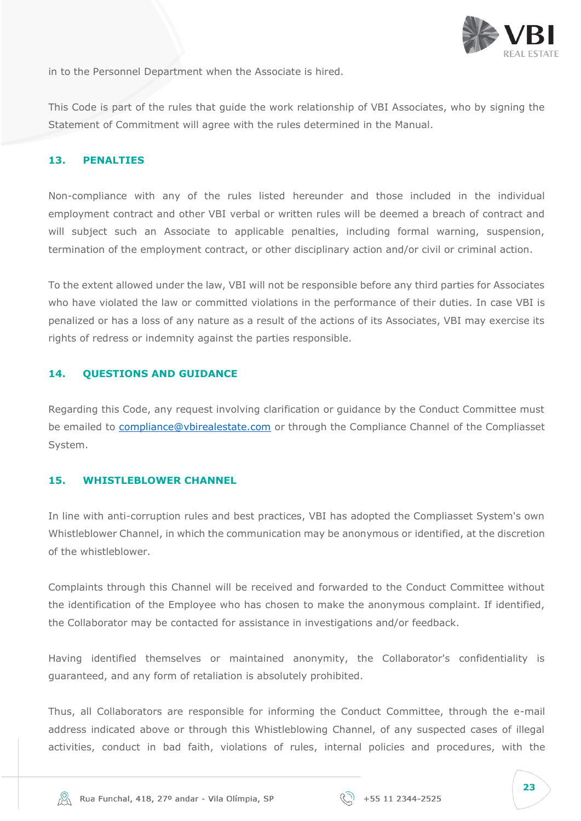

in to the Personnel Department when the Associate is hired.

This Code is part of the rules that guide the work relationship of VBI Associates, who by signing the Statement of Commitment will agree with the rules determined in the Manual.

#### <span id="page-22-0"></span>**13. PENALTIES**

Non-compliance with any of the rules listed hereunder and those included in the individual employment contract and other VBI verbal or written rules will be deemed a breach of contract and will subject such an Associate to applicable penalties, including formal warning, suspension, termination of the employment contract, or other disciplinary action and/or civil or criminal action.

To the extent allowed under the law, VBI will not be responsible before any third parties for Associates who have violated the law or committed violations in the performance of their duties. In case VBI is penalized or has a loss of any nature as a result of the actions of its Associates, VBI may exercise its rights of redress or indemnity against the parties responsible.

# <span id="page-22-1"></span>**14. QUESTIONS AND GUIDANCE**

Regarding this Code, any request involving clarification or guidance by the Conduct Committee must be emailed to [compliance@vbirealestate.com](mailto:compliance@vbirealestate.com) or through the Compliance Channel of the Compliasset System.

#### <span id="page-22-2"></span>**15. WHISTLEBLOWER CHANNEL**

In line with anti-corruption rules and best practices, VBI has adopted the Compliasset System's own Whistleblower Channel, in which the communication may be anonymous or identified, at the discretion of the whistleblower.

Complaints through this Channel will be received and forwarded to the Conduct Committee without the identification of the Employee who has chosen to make the anonymous complaint. If identified, the Collaborator may be contacted for assistance in investigations and/or feedback.

Having identified themselves or maintained anonymity, the Collaborator's confidentiality is guaranteed, and any form of retaliation is absolutely prohibited.

Thus, all Collaborators are responsible for informing the Conduct Committee, through the e-mail address indicated above or through this Whistleblowing Channel, of any suspected cases of illegal activities, conduct in bad faith, violations of rules, internal policies and procedures, with the

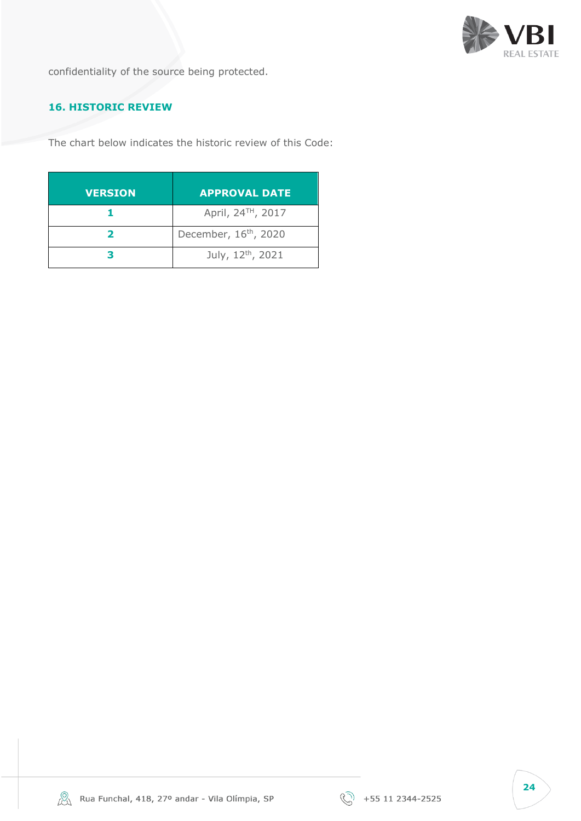

confidentiality of the source being protected.

# **16. HISTORIC REVIEW**

The chart below indicates the historic review of this Code:

| <b>VERSION</b> | <b>APPROVAL DATE</b>              |
|----------------|-----------------------------------|
|                | April, 24 <sup>™</sup> , 2017     |
|                | December, 16 <sup>th</sup> , 2020 |
|                | July, 12th, 2021                  |

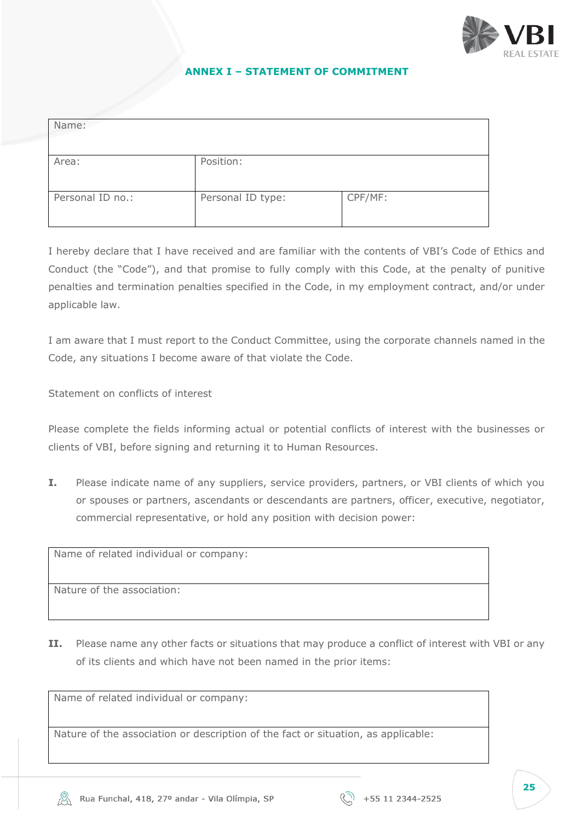

#### **ANNEX I – STATEMENT OF COMMITMENT**

<span id="page-24-0"></span>

| Name:            |                   |         |
|------------------|-------------------|---------|
| Area:            | Position:         |         |
| Personal ID no.: | Personal ID type: | CPF/MF: |

I hereby declare that I have received and are familiar with the contents of VBI's Code of Ethics and Conduct (the "Code"), and that promise to fully comply with this Code, at the penalty of punitive penalties and termination penalties specified in the Code, in my employment contract, and/or under applicable law.

I am aware that I must report to the Conduct Committee, using the corporate channels named in the Code, any situations I become aware of that violate the Code.

Statement on conflicts of interest

Please complete the fields informing actual or potential conflicts of interest with the businesses or clients of VBI, before signing and returning it to Human Resources.

**I.** Please indicate name of any suppliers, service providers, partners, or VBI clients of which you or spouses or partners, ascendants or descendants are partners, officer, executive, negotiator, commercial representative, or hold any position with decision power:

Name of related individual or company:

Nature of the association:

**II.** Please name any other facts or situations that may produce a conflict of interest with VBI or any of its clients and which have not been named in the prior items:

Name of related individual or company:

Nature of the association or description of the fact or situation, as applicable: